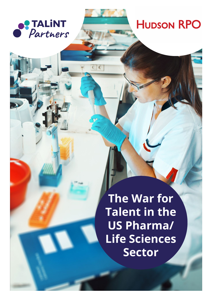

**HUDSON RPO** 

**The War for Talent in the US Pharma/ Life Sciences Sector**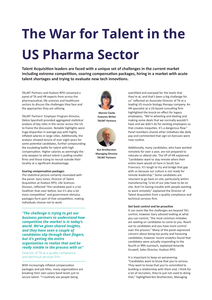# **The War for Talent in the US Pharma Sector**

**Talent Acquisition leaders are faced with a unique set of challenges in the current market including extreme competition, soaring compensation packages, hiring in a market with acute talent shortages and trying to evaluate new tech innovtions.**

TALiNT Partners and Hudson RPO convened a panel of TA and HR experts from across the pharmaceutical, life sciences and healthcare sectors to discuss the challenges they face and the approaches they are utilizing.

TALiNT Partners' Employer Program Director, Debra Sparshott provided aggregated statistical analysis of key roles in the sector across the US to frame the discussion. Notable highlights were huge disparities in average pay with highly inflated salaries in large cities. Additionally, the analysis showed tenure of over eight years for some potential candidates, further compounding the escalating battle for talent with high compensation. Higher salaries as seemingly the only weapon to attract talent is putting smaller firms and those trying to recruit outside their locality at a significant disadvantage.

### **Soaring compensation packages**

The statistical picture certainly resonated with the panel. Gary Jones, Director of Talent Acquisition at Hudson RPO, Life Sciences Division, reflected "the candidate pool is a lot healthier than ever before, but it's also a lot more competitive" and government stimulus packages form part of that competition, making individuals choose not to work.

*"The challenge is trying to get our business partners to understand how competitive the market is in today's world. We've given shared insights, and they have seen a couple of candidates slip through their fingers, but it's getting the entire organization to realize that and be really nimble in the process with us"*

Director of TA at a quality compliance and technical services firm

With increasingly inflated compensation packages and job titles, many organizations are breaking their own salary band levels just to secure talent. "I routinely see people being



**Marnie Clarke Features Writer TALiNT Partners**



**Ken Brotherston Managing Director TALiNT Partners**

overtitled and overpaid for the levels that they're at, and that's been a big challenge for us" reflected an Associate Director of TA at a leading US muscle biology therapy company. An HR specialist at a US-based consulting firm highlighted the knock-on effect for legacy employees, "We're wheeling and dealing and making some deals that we normally wouldn't have and we didn't do for existing employees so that creates inequities. It's a dangerous flow." Panel members shared other initiatives like daily pay and commented that sign-on bonuses were now routine.

Additionally, many candidates, who have worked remotely for over a year, are not prepared to relocate or attend site. The VP of HR explained: "candidates want to stay remote when their entire team would sit here in South San Francisco. It's tough to try and bridge that gap with us because our culture is not ready for remote leadership." Some candidates are reluctant to go back on site, particularly within manufacturing "a lot of our jobs have to be on site. And I'm having trouble with people wanting to work remotely" explained the Director of Talent Acquisition from a quality compliance and technical services firm.

#### **Get back control and be proactive**

It can seem like the challenges are beyond TA's control, however Gary advised looking at what you can control, "the most common mistakes are waiting on candidates to come to you. Reach out to candidates and you have more control over the process." Many of the panel expressed concern about being too pushy and harassing candidates; however recent analytics found that candidates were actually responding to the fourth or fifth outreach, explained Amanda Gruwell, Sales Director, Hudson RPO.

It is important to keep on persevering. "Candidates want to know that you're serious. They want to know that you're committed to building a relationship with them and, I think for a lot of recruiters, they're just not used to doing that," highlighted Ken Brotherston, Managing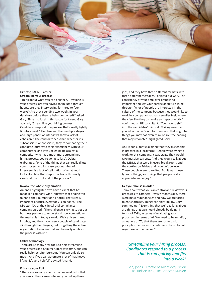

# Director, TALiNT Partners. **Streamline your process**

"Think about what you can enhance. How long is your process, are you having them jump through hoops, are they interviewing for three to four weeks? Are they spending two weeks in your database before they're being contacted?" asked Gary. Time is critical in this battle for talent. Gary advised, "Streamline your hiring process. Candidates respond to a process that's really tightly fit into a week". He observed that multiple stages and large panels of interviews show a lack of cohesion. "The candidate sees that, whether it's subconscious or conscious, they're comparing their candidate journey to their experiences with your competitors, and if you're going up against a competitor who has a much more streamlined hiring process, you're going to lose". Debra elaborated, "one of the things that can really dilute your process and increase your number of interviews is a lack of calibration of what good looks like. Take that step to calibrate this really clearly at the front end of the process."

## **Involve the whole organization**

Amanda highlighted "we have a client that has made it a company-wide initiative that finding top talent is their number one priority. That's really important because everybody is on board." The Director, TA, of the clinical trial compliance company agreed: "The challenge is trying to get our business partners to understand how competitive the market is in today's world. We've given shared insights, and they have seen a couple of candidates slip through their fingers, but it's getting the entire organization to realise that and be really nimble in the process with us."

# **Utilize technology**

There are so many new tools to help streamline your process and help recruiters save time, and can really help recruiter burnout. "You can only do so much. And if you can automate a lot of that heavy lifting, it's very helpful" advised Amanda.

#### **Enhance your EVP**

"There are so many clients that we work with that you look at their career site and you pull up three

jobs, and they have three different formats with three different messages," pointed out Gary. The consistency of your employer brand is so important and lets your particular culture shine through. "A lot of people are interested in the culture of the company because they would like to work in a company that has a smaller feel, where they feel like they can make an impact quickly" confirmed an HR consultant. "You have to shift into the candidates' mindset. Making sure that you list out what's in it for them and that might be things you may not even think of like free parking that may resonate," highlighted Gary.

An HR consultant explained that they'd seen this in practice in a local firm: "People were dying to work for this company, it was crazy. They would take massive pay cuts. And they would talk about the M&Ms that were in every break room, and the cookies on Friday, and I couldn't believe it. These people were so excited. But it was those types of things, soft things that people really appreciate and enjoy".

#### **Get your house in order**

Think about what you can control and review your processes to compete. Twelve months ago, there were mass redundancies and now we are facing talent shortages. Things can shift rapidly. Gary summed up: "Everything that we're talking about are things that we should already be doing, in terms of EVPs, in terms of evaluating your processes, in terms of AI. We need to be mindful, as leaders of TA, that there are some basic principles that we must continue to be on top of regardless of the market."

# *"Streamline your hiring process. Candidates respond to a process that is run quickly and fits into a week"*

Gary Jones, Director of Talent Acquisition at Hudson RPO, Life Sciences Division